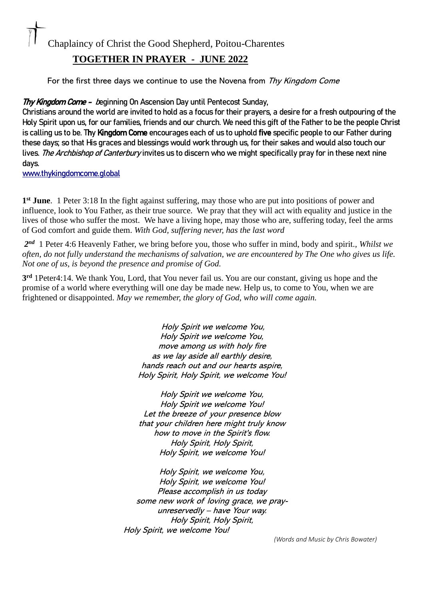## Chaplaincy of Christ the Good Shepherd, Poitou-Charentes

## **TOGETHER IN PRAYER - JUNE 2022**

For the first three days we continue to use the Novena from Thy Kingdom Come

Thy Kingdom Come - beginning On Ascension Day until Pentecost Sunday,

Christians around the world are invited to hold as a focus for their prayers, a desire for a fresh outpouring of the Holy Spirit upon us, for our families, friends and our church. We need this gift of the Father to be the people Christ is calling us to be. Thy Kingdom Come encourages each of us to uphold five specific people to our Father during these days; so that His graces and blessings would work through us, for their sakes and would also touch our lives. *The Archbishop of Canterburv* invites us to discern who we might specifically pray for in these next nine days.

[www.thykingdomcome.global](http://www.thykingdomcome.global/) 

**1 st June**. 1 Peter 3:18 In the fight against suffering, may those who are put into positions of power and influence, look to You Father, as their true source. We pray that they will act with equality and justice in the lives of those who suffer the most. We have a living hope, may those who are, suffering today, feel the arms of God comfort and guide them. *With God, suffering never, has the last word*

*2 nd* 1 Peter 4:6 Heavenly Father, we bring before you, those who suffer in mind, body and spirit., *Whilst we often, do not fully understand the mechanisms of salvation, we are encountered by The One who gives us life. Not one of us, is beyond the presence and promise of God.* 

**3 rd** 1Peter4:14. We thank You, Lord, that You never fail us. You are our constant, giving us hope and the promise of a world where everything will one day be made new. Help us, to come to You, when we are frightened or disappointed. *May we remember, the glory of God, who will come again.* 

> Holy Spirit we welcome You, Holy Spirit we welcome You, move among us with holy fire as we lay aside all earthly desire, hands reach out and our hearts aspire, Holy Spirit, Holy Spirit, we welcome You!

> Holy Spirit we welcome You, Holy Spirit we welcome You! Let the breeze of your presence blow that your children here might truly know how to move in the Spirit's flow. Holy Spirit, Holy Spirit, Holy Spirit, we welcome You!

Holy Spirit, we welcome You, Holy Spirit, we welcome You! Please accomplish in us today some new work of loving grace, we prayunreservedly – have Your way. Holy Spirit, Holy Spirit, Holy Spirit, we welcome You!

*(Words and Music by Chris Bowater)*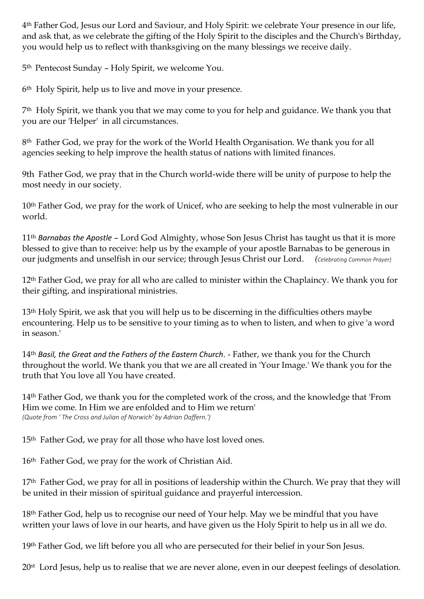4th Father God, Jesus our Lord and Saviour, and Holy Spirit: we celebrate Your presence in our life, and ask that, as we celebrate the gifting of the Holy Spirit to the disciples and the Church's Birthday, you would help us to reflect with thanksgiving on the many blessings we receive daily.

5th Pentecost Sunday – Holy Spirit, we welcome You.

6th Holy Spirit, help us to live and move in your presence.

7th Holy Spirit, we thank you that we may come to you for help and guidance. We thank you that you are our 'Helper' in all circumstances.

8<sup>th</sup> Father God, we pray for the work of the World Health Organisation. We thank you for all agencies seeking to help improve the health status of nations with limited finances.

9th Father God, we pray that in the Church world-wide there will be unity of purpose to help the most needy in our society.

10th Father God, we pray for the work of Unicef, who are seeking to help the most vulnerable in our world.

11th *Barnabas the Apostle* – Lord God Almighty, whose Son Jesus Christ has taught us that it is more blessed to give than to receive: help us by the example of your apostle Barnabas to be generous in our judgments and unselfish in our service; through Jesus Christ our Lord. *(Celebrating Common Prayer)*

12<sup>th</sup> Father God, we pray for all who are called to minister within the Chaplaincy. We thank you for their gifting, and inspirational ministries.

13th Holy Spirit, we ask that you will help us to be discerning in the difficulties others maybe encountering. Help us to be sensitive to your timing as to when to listen, and when to give 'a word in season.'

14th *Basil, the Great and the Fathers of the Eastern Church*. - Father, we thank you for the Church throughout the world. We thank you that we are all created in 'Your Image.' We thank you for the truth that You love all You have created.

14th Father God, we thank you for the completed work of the cross, and the knowledge that 'From Him we come. In Him we are enfolded and to Him we return' *(Quote from ' The Cross and Julian of Norwich' by Adrian Daffern.')* 

15<sup>th</sup> Father God, we pray for all those who have lost loved ones.

16th Father God, we pray for the work of Christian Aid.

17<sup>th</sup> Father God, we pray for all in positions of leadership within the Church. We pray that they will be united in their mission of spiritual guidance and prayerful intercession.

18<sup>th</sup> Father God, help us to recognise our need of Your help. May we be mindful that you have written your laws of love in our hearts, and have given us the Holy Spirit to help us in all we do.

19th Father God, we lift before you all who are persecuted for their belief in your Son Jesus.

20st Lord Jesus, help us to realise that we are never alone, even in our deepest feelings of desolation.